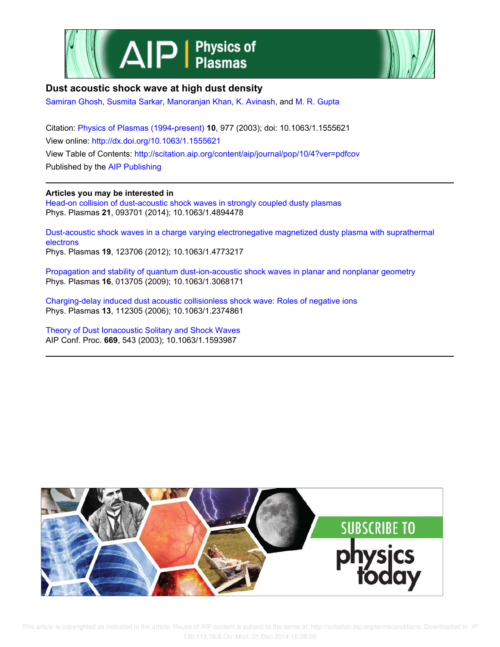



# **Dust acoustic shock wave at high dust density**

Samiran Ghosh, Susmita Sarkar, Manoranjan Khan, K. Avinash, and M. R. Gupta

Citation: Physics of Plasmas (1994-present) **10**, 977 (2003); doi: 10.1063/1.1555621 View online: http://dx.doi.org/10.1063/1.1555621 View Table of Contents: http://scitation.aip.org/content/aip/journal/pop/10/4?ver=pdfcov Published by the AIP Publishing

### **Articles you may be interested in**

Head-on collision of dust-acoustic shock waves in strongly coupled dusty plasmas Phys. Plasmas **21**, 093701 (2014); 10.1063/1.4894478

Dust-acoustic shock waves in a charge varying electronegative magnetized dusty plasma with suprathermal electrons Phys. Plasmas **19**, 123706 (2012); 10.1063/1.4773217

Propagation and stability of quantum dust-ion-acoustic shock waves in planar and nonplanar geometry Phys. Plasmas **16**, 013705 (2009); 10.1063/1.3068171

Charging-delay induced dust acoustic collisionless shock wave: Roles of negative ions Phys. Plasmas **13**, 112305 (2006); 10.1063/1.2374861

Theory of Dust Ionacoustic Solitary and Shock Waves AIP Conf. Proc. **669**, 543 (2003); 10.1063/1.1593987

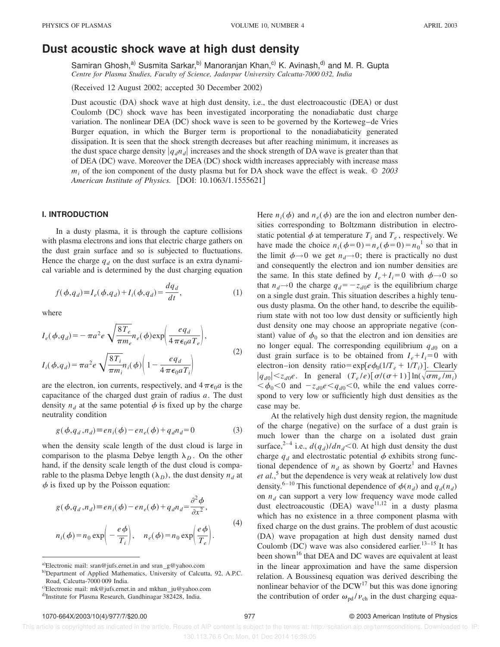## **Dust acoustic shock wave at high dust density**

Samiran Ghosh,<sup>a)</sup> Susmita Sarkar,<sup>b)</sup> Manoranjan Khan,<sup>c)</sup> K. Avinash,<sup>d)</sup> and M. R. Gupta *Centre for Plasma Studies, Faculty of Science, Jadavpur University Calcutta-7000 032, India*

(Received 12 August 2002; accepted 30 December 2002)

Dust acoustic (DA) shock wave at high dust density, i.e., the dust electroacoustic (DEA) or dust Coulomb (DC) shock wave has been investigated incorporating the nonadiabatic dust charge variation. The nonlinear DEA (DC) shock wave is seen to be governed by the Korteweg–de Vries Burger equation, in which the Burger term is proportional to the nonadiabaticity generated dissipation. It is seen that the shock strength decreases but after reaching minimum, it increases as the dust space charge density  $|q_d n_d|$  increases and the shock strength of DA wave is greater than that of DEA (DC) wave. Moreover the DEA (DC) shock width increases appreciably with increase mass *m<sup>i</sup>* of the ion component of the dusty plasma but for DA shock wave the effect is weak. © *2003 American Institute of Physics.* [DOI: 10.1063/1.1555621]

#### **I. INTRODUCTION**

In a dusty plasma, it is through the capture collisions with plasma electrons and ions that electric charge gathers on the dust grain surface and so is subjected to fluctuations. Hence the charge  $q_d$  on the dust surface is an extra dynamical variable and is determined by the dust charging equation

$$
f(\phi, q_d) \equiv I_e(\phi, q_d) + I_i(\phi, q_d) = \frac{dq_d}{dt},
$$
\n(1)

where

$$
I_e(\phi, q_d) = -\pi a^2 e \sqrt{\frac{8T_e}{\pi m_e}} n_e(\phi) \exp\left(\frac{eq_d}{4\pi\epsilon_0 a T_e}\right),
$$
  

$$
I_i(\phi, q_d) = \pi a^2 e \sqrt{\frac{8T_i}{\pi m_i}} n_i(\phi) \left(1 - \frac{eq_d}{4\pi\epsilon_0 a T_i}\right)
$$
 (2)

are the electron, ion currents, respectively, and  $4\pi\epsilon_0 a$  is the capacitance of the charged dust grain of radius *a*. The dust density  $n_d$  at the same potential  $\phi$  is fixed up by the charge neutrality condition

$$
g(\phi, q_d, n_d) \equiv en_i(\phi) - en_e(\phi) + q_d n_d = 0 \tag{3}
$$

when the density scale length of the dust cloud is large in comparison to the plasma Debye length  $\lambda_D$ . On the other hand, if the density scale length of the dust cloud is comparable to the plasma Debye length  $(\lambda_D)$ , the dust density  $n_d$  at  $\phi$  is fixed up by the Poisson equation:

$$
g(\phi, q_d, n_d) \equiv en_i(\phi) - en_e(\phi) + q_d n_d = \frac{\partial^2 \phi}{\partial x^2},
$$
  

$$
n_i(\phi) = n_0 \exp\left(-\frac{e\phi}{T_i}\right), \quad n_e(\phi) = n_0 \exp\left(\frac{e\phi}{T_e}\right).
$$
 (4)

Here  $n_i(\phi)$  and  $n_e(\phi)$  are the ion and electron number densities corresponding to Boltzmann distribution in electrostatic potential  $\phi$  at temperature  $T_i$  and  $T_e$ , respectively. We have made the choice  $n_i(\phi=0) = n_e(\phi=0) = n_0^{-1}$  so that in the limit  $\phi \rightarrow 0$  we get  $n_d \rightarrow 0$ ; there is practically no dust and consequently the electron and ion number densities are the same. In this state defined by  $I_e + I_i = 0$  with  $\phi \rightarrow 0$  so that  $n_d \rightarrow 0$  the charge  $q_d = -z_{d0}e$  is the equilibrium charge on a single dust grain. This situation describes a highly tenuous dusty plasma. On the other hand, to describe the equilibrium state with not too low dust density or sufficiently high dust density one may choose an appropriate negative (constant) value of  $\phi_0$  so that the electron and ion densities are no longer equal. The corresponding equilibrium  $q_{d0}$  on a dust grain surface is to be obtained from  $I_e + I_i = 0$  with electron–ion density ratio= $\exp[e\phi_0(1/T_e + 1/T_i)]$ . Clearly  $|q_{d0}| < z_{d0}e$ . In general  $(T_e/e)[\sigma/(\sigma+1)] \ln(\sqrt{\sigma m_e/m_i})$  $\langle \phi_0 \rangle$  and  $-z_{d0}e \langle q_{d0} \rangle$  while the end values correspond to very low or sufficiently high dust densities as the case may be.

At the relatively high dust density region, the magnitude of the charge (negative) on the surface of a dust grain is much lower than the charge on a isolated dust grain surface,<sup>2-4</sup> i.e.,  $d(q_d)/dn_d < 0$ . At high dust density the dust charge  $q_d$  and electrostatic potential  $\phi$  exhibits strong functional dependence of  $n_d$  as shown by Goertz<sup>1</sup> and Havnes *et al.*, 5 but the dependence is very weak at relatively low dust density.<sup>6–10</sup> This functional dependence of  $\phi(n_d)$  and  $q_d(n_d)$ on  $n_d$  can support a very low frequency wave mode called dust electroacoustic (DEA) wave<sup>11,12</sup> in a dusty plasma which has no existence in a three component plasma with fixed charge on the dust grains. The problem of dust acoustic (DA) wave propagation at high dust density named dust Coulomb (DC) wave was also considered earlier.<sup>13–15</sup> It has been shown<sup>16</sup> that DEA and DC waves are equivalent at least in the linear approximation and have the same dispersion relation. A Boussinesq equation was derived describing the nonlinear behavior of the  $DCW<sup>17</sup>$  but this was done ignoring the contribution of order  $\omega_{pd} / \nu_{ch}$  in the dust charging equa-

a)Electronic mail: sran@jufs.ernet.in and sran\_g@yahoo.com

b)Department of Applied Mathematics, University of Calcutta, 92, A.P.C. Road, Calcutta-7000 009 India.

c)Electronic mail: mk@jufs.ernet.in and mkhan\_ju@yahoo.com

d)Institute for Plasma Research, Gandhinagar 382428, India.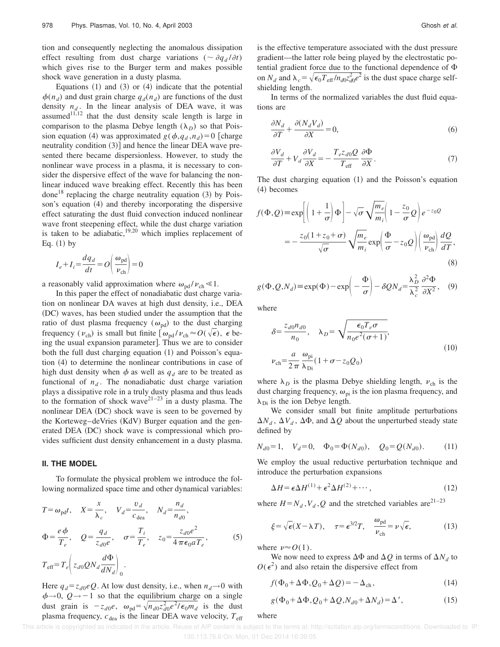tion and consequently neglecting the anomalous dissipation effect resulting from dust charge variations ( $\sim \partial q_d / \partial t$ ) which gives rise to the Burger term and makes possible shock wave generation in a dusty plasma.

Equations  $(1)$  and  $(3)$  or  $(4)$  indicate that the potential  $\phi(n_d)$  and dust grain charge  $q_d(n_d)$  are functions of the dust density  $n_d$ . In the linear analysis of DEA wave, it was assumed $1^{1,12}$  that the dust density scale length is large in comparison to the plasma Debye length  $(\lambda_D)$  so that Poission equation (4) was approximated  $g(\phi, q_d, n_d) = 0$  [charge neutrality condition  $(3)$  and hence the linear DEA wave presented there became dispersionless. However, to study the nonlinear wave process in a plasma, it is necessary to consider the dispersive effect of the wave for balancing the nonlinear induced wave breaking effect. Recently this has been done<sup>18</sup> replacing the charge neutrality equation  $(3)$  by Poisson's equation  $(4)$  and thereby incorporating the dispersive effect saturating the dust fluid convection induced nonlinear wave front steepening effect, while the dust charge variation is taken to be adiabatic, $19,20$  which implies replacement of Eq.  $(1)$  by

$$
I_e + I_i = \frac{dq_d}{dt} = O\left(\frac{\omega_{\text{pd}}}{\nu_{\text{ch}}}\right) = 0
$$

a reasonably valid approximation where  $\omega_{\text{pd}} / \nu_{\text{ch}} \ll 1$ .

In this paper the effect of nonadiabatic dust charge variation on nonlinear DA waves at high dust density, i.e., DEA (DC) waves, has been studied under the assumption that the ratio of dust plasma frequency ( $\omega_{pd}$ ) to the dust charging frequency ( $v_{ch}$ ) is small but finite  $\left[\omega_{pd} / \nu_{ch} \approx O(\sqrt{\epsilon})\right], \epsilon$  being the usual expansion parameter]. Thus we are to consider both the full dust charging equation  $(1)$  and Poisson's equation  $(4)$  to determine the nonlinear contributions in case of high dust density when  $\phi$  as well as  $q_d$  are to be treated as functional of  $n_d$ . The nonadiabatic dust charge variation plays a dissipative role in a truly dusty plasma and thus leads to the formation of shock wave $2^{1-23}$  in a dusty plasma. The nonlinear DEA (DC) shock wave is seen to be governed by the Korteweg–deVries (KdV) Burger equation and the generated DEA (DC) shock wave is compressional which provides sufficient dust density enhancement in a dusty plasma.

#### **II. THE MODEL**

To formulate the physical problem we introduce the following normalized space time and other dynamical variables:

$$
T = \omega_{\text{pd}}t, \quad X = \frac{x}{\lambda_c}, \quad V_d = \frac{v_d}{c_{\text{dea}}}, \quad N_d = \frac{n_d}{n_{d0}},
$$
  
\n
$$
\Phi = \frac{e\phi}{T_e}, \quad Q = \frac{q_d}{z_{d0}e}, \quad \sigma = \frac{T_i}{T_e}, \quad z_0 = \frac{z_{d0}e^2}{4\pi\epsilon_0 a T_e},
$$
  
\n
$$
T_{\text{eff}} = T_e \left( z_{d0}Q N_d \frac{d\Phi}{dN_d} \right)_0.
$$
\n(5)

Here  $q_d = z_{d0}eQ$ . At low dust density, i.e., when  $n_d \rightarrow 0$  with  $\phi \rightarrow 0$ ,  $Q \rightarrow -1$  so that the equilibrium charge on a single dust grain is  $-z_{d0}e$ ,  $\omega_{pd} = \sqrt{n_{d0}z_{d0}^2e^2/\epsilon_0m_d}$  is the dust plasma frequency,  $c_{\text{dea}}$  is the linear DEA wave velocity,  $T_{\text{eff}}$  is the effective temperature associated with the dust pressure gradient—the latter role being played by the electrostatic potential gradient force due to the functional dependence of  $\Phi$ on  $N_d$  and  $\lambda_c = \sqrt{\epsilon_0 T_{\text{eff}} / n_{d0} z_{d0}^2 e^2}$  is the dust space charge selfshielding length.

In terms of the normalized variables the dust fluid equations are

$$
\frac{\partial N_d}{\partial T} + \frac{\partial (N_d V_d)}{\partial X} = 0,\tag{6}
$$

$$
\frac{\partial V_d}{\partial T} + V_d \frac{\partial V_d}{\partial X} = -\frac{T_e z_{d0} Q}{T_{\text{eff}}} \frac{\partial \Phi}{\partial X}.
$$
 (7)

The dust charging equation  $(1)$  and the Poisson's equation (4) becomes

$$
f(\Phi, Q) \equiv \exp\left[ \left( 1 + \frac{1}{\sigma} \right) \Phi \right] - \sqrt{\sigma} \sqrt{\frac{m_e}{m_i}} \left( 1 - \frac{z_0}{\sigma} Q \right) e^{-z_0 Q}
$$

$$
= -\frac{z_0 (1 + z_0 + \sigma)}{\sqrt{\sigma}} \sqrt{\frac{m_e}{m_i}} \exp\left( \frac{\Phi}{\sigma} - z_0 Q \right) \left( \frac{\omega_{\text{pd}}}{\nu_{\text{ch}}} \right) \frac{dQ}{dT},\tag{8}
$$

$$
g(\Phi, Q, N_d) \equiv \exp(\Phi) - \exp\left(-\frac{\Phi}{\sigma}\right) - \delta Q N_d = \frac{\lambda_D^2}{\lambda_c^2} \frac{\partial^2 \Phi}{\partial X^2}, \quad (9)
$$

where

$$
\delta = \frac{z_{d0} n_{d0}}{n_0}, \quad \lambda_D = \sqrt{\frac{\epsilon_0 T_e \sigma}{n_0 e^2 (\sigma + 1)}},
$$
  

$$
\nu_{ch} = \frac{a}{2\pi} \frac{\omega_{pi}}{\lambda_{Di}} (1 + \sigma - z_0 Q_0)
$$
 (10)

where  $\lambda_D$  is the plasma Debye shielding length,  $v_{ch}$  is the dust charging frequency,  $\omega_{pi}$  is the ion plasma frequency, and  $\lambda_{\text{Di}}$  is the ion Debye length.

We consider small but finite amplitude perturbations  $\Delta N_d$ ,  $\Delta V_d$ ,  $\Delta \Phi$ , and  $\Delta Q$  about the unperturbed steady state defined by

$$
N_{d0} = 1, \quad V_d = 0, \quad \Phi_0 = \Phi(N_{d0}), \quad Q_0 = Q(N_{d0}). \tag{11}
$$

We employ the usual reductive perturbation technique and introduce the perturbation expansions

$$
\Delta H = \epsilon \Delta H^{(1)} + \epsilon^2 \Delta H^{(2)} + \cdots, \qquad (12)
$$

where  $H = N_d$ ,  $V_d$ ,  $Q$  and the stretched variables are<sup>21–23</sup>

$$
\xi = \sqrt{\epsilon}(X - \lambda T), \quad \tau = \epsilon^{3/2}T, \quad \frac{\omega_{\text{pd}}}{\nu_{\text{ch}}} = \nu \sqrt{\epsilon},
$$
 (13)

where  $\nu \approx O(1)$ .

We now need to express  $\Delta\Phi$  and  $\Delta Q$  in terms of  $\Delta N_d$  to  $O(\epsilon^2)$  and also retain the dispersive effect from

$$
f(\Phi_0 + \Delta \Phi, Q_0 + \Delta Q) = -\Delta_{\rm ch},\tag{14}
$$

$$
g(\Phi_0 + \Delta \Phi, Q_0 + \Delta Q, N_{d0} + \Delta N_d) = \Delta', \qquad (15)
$$

### where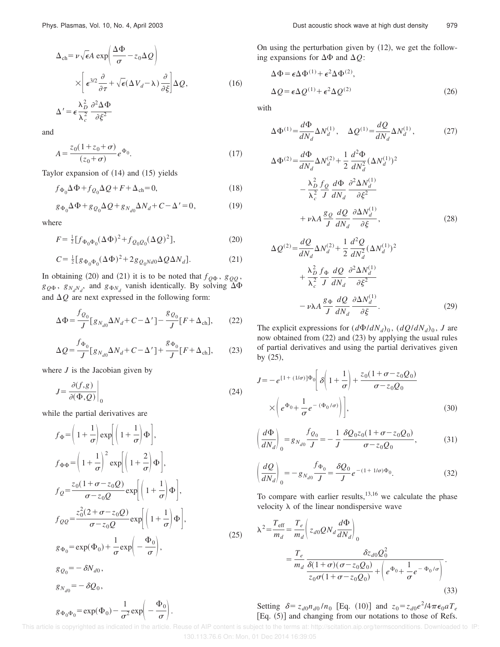$$
\Delta_{\rm ch} = \nu \sqrt{\epsilon} A \exp\left(\frac{\Delta \Phi}{\sigma} - z_0 \Delta Q\right)
$$
  

$$
\times \left[\epsilon^{3/2} \frac{\partial}{\partial \tau} + \sqrt{\epsilon} (\Delta V_d - \lambda) \frac{\partial}{\partial \xi}\right] \Delta Q,
$$
 (16)  

$$
\Delta' = \epsilon \frac{\lambda_D^2}{\lambda_c^2} \frac{\partial^2 \Delta \Phi}{\partial \xi^2}
$$

and

$$
A = \frac{z_0(1+z_0+\sigma)}{(z_0+\sigma)} e^{\Phi_0}.
$$
 (17)

Taylor expansion of  $(14)$  and  $(15)$  yields

$$
f_{\Phi_0} \Delta \Phi + f_{Q_0} \Delta Q + F + \Delta_{\rm ch} = 0, \tag{18}
$$

$$
g_{\Phi_0} \Delta \Phi + g_{Q_0} \Delta Q + g_{N_{d0}} \Delta N_d + C - \Delta' = 0, \qquad (19)
$$

where

$$
F = \frac{1}{2} [f_{\Phi_0 \Phi_0} (\Delta \Phi)^2 + f_{Q_0 Q_0} (\Delta Q)^2],
$$
 (20)

$$
C = \frac{1}{2} \left[ g_{\Phi_0 \Phi_0} (\Delta \Phi)^2 + 2 g_{Q_0 N d0} \Delta Q \Delta N_d \right].
$$
 (21)

In obtaining (20) and (21) it is to be noted that  $f_{Q\Phi}$ ,  $g_{QQ}$ ,  $g_{Q\Phi}$ ,  $g_{N_dN_d}$ , and  $g_{\Phi N_d}$  vanish identically. By solving  $\Delta\Phi$ and  $\Delta Q$  are next expressed in the following form:

$$
\Delta \Phi = \frac{f_{Q_0}}{J} \left[ g_{N_{d0}} \Delta N_d + C - \Delta' \right] - \frac{g_{Q_0}}{J} \left[ F + \Delta_{\text{ch}} \right],\tag{22}
$$

$$
\Delta Q = \frac{f_{\Phi_0}}{J} \left[ g_{N_{d0}} \Delta N_d + C - \Delta' \right] + \frac{g_{\Phi_0}}{J} \left[ F + \Delta_{\text{ch}} \right],\tag{23}
$$

where *J* is the Jacobian given by

$$
J = \frac{\partial(f, g)}{\partial(\Phi, Q)}\Big|_0
$$
\n(24)

while the partial derivatives are

$$
f_{\Phi} = \left(1 + \frac{1}{\sigma}\right) \exp\left[\left(1 + \frac{1}{\sigma}\right)\Phi\right],
$$
  
\n
$$
f_{\Phi\Phi} = \left(1 + \frac{1}{\sigma}\right)^2 \exp\left[\left(1 + \frac{2}{\sigma}\right)\Phi\right],
$$
  
\n
$$
f_{Q} = \frac{z_0(1 + \sigma - z_0Q)}{\sigma - z_0Q} \exp\left[\left(1 + \frac{1}{\sigma}\right)\Phi\right],
$$
  
\n
$$
f_{QQ} = \frac{z_0^2(2 + \sigma - z_0Q)}{\sigma - z_0Q} \exp\left[\left(1 + \frac{1}{\sigma}\right)\Phi\right],
$$
  
\n
$$
g_{\Phi_0} = \exp(\Phi_0) + \frac{1}{\sigma} \exp\left(-\frac{\Phi_0}{\sigma}\right),
$$
  
\n
$$
g_{Q_0} = -\delta N_{d0},
$$
  
\n
$$
g_{N_{d0}} = -\delta Q_0,
$$
  
\n
$$
g_{\Phi_0\Phi_0} = \exp(\Phi_0) - \frac{1}{\sigma^2} \exp\left(-\frac{\Phi_0}{\sigma}\right).
$$
  
\n(25)

On using the perturbation given by  $(12)$ , we get the following expansions for  $\Delta\Phi$  and  $\Delta Q$ :

$$
\Delta \Phi = \epsilon \Delta \Phi^{(1)} + \epsilon^2 \Delta \Phi^{(2)},
$$
  

$$
\Delta Q = \epsilon \Delta Q^{(1)} + \epsilon^2 \Delta Q^{(2)}
$$
 (26)

with

$$
\Delta \Phi^{(1)} = \frac{d\Phi}{dN_d} \Delta N_d^{(1)}, \quad \Delta Q^{(1)} = \frac{dQ}{dN_d} \Delta N_d^{(1)},\tag{27}
$$

$$
\Delta \Phi^{(2)} = \frac{d\Phi}{dN_d} \Delta N_d^{(2)} + \frac{1}{2} \frac{d^2 \Phi}{dN_d^2} (\Delta N_d^{(1)})^2
$$

$$
- \frac{\lambda_D^2}{\lambda_c^2} \frac{f_Q}{J} \frac{d\Phi}{dN_d} \frac{\partial^2 \Delta N_d^{(1)}}{\partial \xi^2}
$$

$$
+ \nu \lambda A \frac{g_Q}{J} \frac{dQ}{dN_d} \frac{\partial \Delta N_d^{(1)}}{\partial \xi}, \qquad (28)
$$

$$
\Delta Q^{(2)} = \frac{dQ}{dN_d} \Delta N_d^{(2)} + \frac{1}{2} \frac{d^2Q}{dN_d^2} (\Delta N_d^{(1)})^2
$$

$$
+ \frac{\lambda_D^2 f_{\Phi}}{\lambda_c^2} \frac{dQ}{J} \frac{\partial^2 \Delta N_d^{(1)}}{dN_d}
$$

$$
- \nu \lambda A \frac{g_{\Phi}}{J} \frac{dQ}{dN_d} \frac{\partial \Delta N_d^{(1)}}{\partial \xi}.
$$
(29)

The explicit expressions for  $(d\Phi/dN_d)_0$ ,  $(dQ/dN_d)_0$ , *J* are now obtained from  $(22)$  and  $(23)$  by applying the usual rules of partial derivatives and using the partial derivatives given by  $(25)$ ,

$$
J = -e^{[1+(1/\sigma)]\Phi_0}\left[\delta\left(1+\frac{1}{\sigma}\right) + \frac{z_0(1+\sigma-z_0Q_0)}{\sigma-z_0Q_0}\right]
$$

$$
\times \left(e^{\Phi_0} + \frac{1}{\sigma}e^{-(\Phi_0/\sigma)}\right)\bigg],
$$
(30)

$$
\left(\frac{d\Phi}{dN_d}\right)_0 = g_{N_{d0}} \frac{f_{Q_0}}{J} = -\frac{1}{J} \frac{\delta Q_0 z_0 (1 + \sigma - z_0 Q_0)}{\sigma - z_0 Q_0},\tag{31}
$$

$$
\left(\frac{dQ}{dN_d}\right)_0 = -g_{N_{d0}} \frac{f_{\Phi_0}}{J} = \frac{\delta Q_0}{J} e^{-(1+1/\sigma)\Phi_0}.
$$
\n(32)

To compare with earlier results, $13,16$  we calculate the phase velocity  $\lambda$  of the linear nondispersive wave

$$
\lambda^{2} = \frac{T_{\text{eff}}}{m_{d}} = \frac{T_{e}}{m_{d}} \left( z_{d0} Q N_{d} \frac{d\Phi}{dN_{d}} \right)_{0}
$$
  
= 
$$
\frac{T_{e}}{m_{d}} \frac{\delta z_{d0} Q_{0}^{2}}{\delta (1 + \sigma) (\sigma - z_{0} Q_{0})} + \left( e^{\Phi_{0}} + \frac{1}{\sigma} e^{-\Phi_{0}/\sigma} \right).
$$
(33)

Setting  $\delta = z_{d0} n_{d0} / n_0$  [Eq. (10)] and  $z_0 = z_{d0} e^{2}/4 \pi \epsilon_0 a T_e$  $Eq. (5)$ ] and changing from our notations to those of Refs.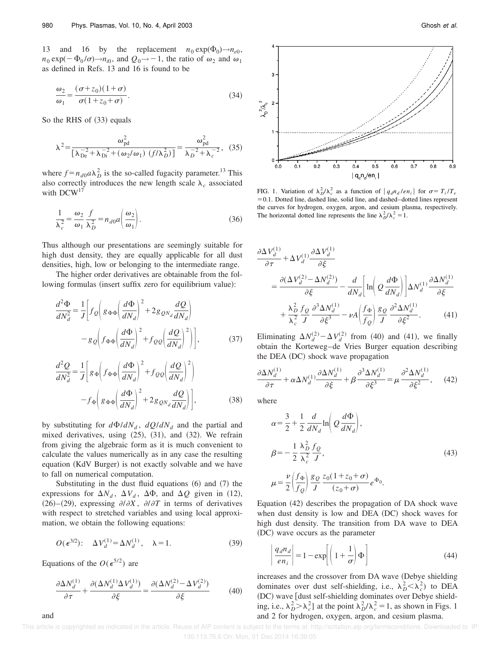13 and 16 by the replacement  $n_0 \exp(\Phi_0) \rightarrow n_{e0}$ ,  $n_0 \exp(-\Phi_0/\sigma) \rightarrow n_{i0}$ , and  $Q_0 \rightarrow -1$ , the ratio of  $\omega_2$  and  $\omega_1$ as defined in Refs. 13 and 16 is found to be

$$
\frac{\omega_2}{\omega_1} = \frac{(\sigma + z_0)(1 + \sigma)}{\sigma(1 + z_0 + \sigma)}.
$$
\n(34)

So the RHS of (33) equals

$$
\lambda^{2} = \frac{\omega_{\rm pd}^{2}}{\left[\lambda_{\rm De}^{-2} + \lambda_{\rm Di}^{-2} + (\omega_{2}/\omega_{1}) \left(f/\lambda_{D}^{2}\right)\right]} = \frac{\omega_{\rm pd}^{2}}{\lambda_{D}^{-2} + \lambda_{c}^{-2}},
$$
 (35)

where  $f = n_{d0} a \lambda_D^2$  is the so-called fugacity parameter.<sup>13</sup> This also correctly introduces the new length scale  $\lambda_c$  associated with DCW<sup>17</sup>

$$
\frac{1}{\lambda_c^2} = \frac{\omega_2}{\omega_1} \frac{f}{\lambda_D^2} = n_{d0} a \left( \frac{\omega_2}{\omega_1} \right). \tag{36}
$$

Thus although our presentations are seemingly suitable for high dust density, they are equally applicable for all dust densities, high, low or belonging to the intermediate range.

The higher order derivatives are obtainable from the following formulas (insert suffix zero for equilibrium value):

$$
\frac{d^2\Phi}{dN_d^2} = \frac{1}{J} \left[ f_Q \left( g_{\Phi\Phi} \left( \frac{d\Phi}{dN_d} \right)^2 + 2 g_{QN_d} \frac{dQ}{dN_d} \right) - g_Q \left( f_{\Phi\Phi} \left( \frac{d\Phi}{dN_d} \right)^2 + f_{QQ} \left( \frac{dQ}{dN_d} \right)^2 \right) \right],
$$
(37)

$$
\frac{d^2Q}{dN_d^2} = \frac{1}{J} \left[ g_{\Phi} \left( f_{\Phi\Phi} \left( \frac{d\Phi}{dN_d} \right)^2 + f_{QQ} \left( \frac{dQ}{dN_d} \right)^2 \right) - f_{\Phi} \left( g_{\Phi\Phi} \left( \frac{d\Phi}{dN_d} \right)^2 + 2g_{QN_d} \frac{dQ}{dN_d} \right) \right],
$$
(38)

by substituting for  $d\Phi/dN_d$ ,  $dQ/dN_d$  and the partial and mixed derivatives, using  $(25)$ ,  $(31)$ , and  $(32)$ . We refrain from giving the algebraic form as it is much convenient to calculate the values numerically as in any case the resulting equation (KdV Burger) is not exactly solvable and we have to fall on numerical computation.

Substituting in the dust fluid equations  $(6)$  and  $(7)$  the expressions for  $\Delta N_d$ ,  $\Delta V_d$ ,  $\Delta \Phi$ , and  $\Delta Q$  given in (12),  $(26)$ – $(29)$ , expressing  $\partial/\partial X$ ,  $\partial/\partial T$  in terms of derivatives with respect to stretched variables and using local approximation, we obtain the following equations:

$$
O(\epsilon^{3/2})\colon \quad \Delta V_d^{(1)} = \Delta N_d^{(1)}, \quad \lambda = 1. \tag{39}
$$

Equations of the  $O(\epsilon^{5/2})$  are

and

$$
\frac{\partial \Delta N_d^{(1)}}{\partial \tau} + \frac{\partial (\Delta N_d^{(1)} \Delta V_d^{(1)})}{\partial \xi} = \frac{\partial (\Delta N_d^{(2)} - \Delta V_d^{(2)})}{\partial \xi} \tag{40}
$$



FIG. 1. Variation of  $\lambda_D^2/\lambda_c^2$  as a function of  $|q_d n_d / e n_i|$  for  $\sigma = T_i / T_e$  $=0.1$ . Dotted line, dashed line, solid line, and dashed–dotted lines represent the curves for hydrogen, oxygen, argon, and cesium plasma, respectively. The horizontal dotted line represents the line  $\lambda_D^2/\lambda_c^2 = 1$ .

$$
\frac{\partial \Delta V_d^{(1)}}{\partial \tau} + \Delta V_d^{(1)} \frac{\partial \Delta V_d^{(1)}}{\partial \xi} \n= \frac{\partial (\Delta V_d^{(2)} - \Delta N_d^{(2)})}{\partial \xi} - \frac{d}{dN_d} \left[ \ln \left( Q \frac{d\Phi}{dN_d} \right) \right] \Delta N_d^{(1)} \frac{\partial \Delta N_d^{(1)}}{\partial \xi} \n+ \frac{\lambda_D^2}{\lambda_c^2} \frac{f_Q}{J} \frac{\partial^3 \Delta N_d^{(1)}}{\partial \xi^3} - \nu A \left( \frac{f_\Phi}{f_Q} \right) \frac{g_Q}{J} \frac{\partial^2 \Delta N_d^{(1)}}{\partial \xi^2}.
$$
\n(41)

Eliminating  $\Delta N_d^{(2)} - \Delta V_d^{(2)}$  from (40) and (41), we finally obtain the Korteweg–de Vries Burger equation describing the DEA (DC) shock wave propagation

$$
\frac{\partial \Delta N_d^{(1)}}{\partial \tau} + \alpha \Delta N_d^{(1)} \frac{\partial \Delta N_d^{(1)}}{\partial \xi} + \beta \frac{\partial^3 \Delta N_d^{(1)}}{\partial \xi^3} = \mu \frac{\partial^2 \Delta N_d^{(1)}}{\partial \xi^2}, \quad (42)
$$

where

$$
\alpha = \frac{3}{2} + \frac{1}{2} \frac{d}{dN_d} \ln \left( Q \frac{d\Phi}{dN_d} \right),
$$
  
\n
$$
\beta = -\frac{1}{2} \frac{\lambda_D^2}{\lambda_c^2} \frac{f_Q}{J},
$$
  
\n
$$
\mu = \frac{\nu}{2} \left( \frac{f_\Phi}{f_Q} \right) \frac{g_Q}{J} \frac{z_0 (1 + z_0 + \sigma)}{(z_0 + \sigma)} e^{\Phi_0}.
$$
\n(43)

Equation  $(42)$  describes the propagation of DA shock wave when dust density is low and DEA (DC) shock waves for high dust density. The transition from DA wave to DEA (DC) wave occurs as the parameter

$$
\left| \frac{q_d n_d}{e n_i} \right| = 1 - \exp \left[ \left( 1 + \frac{1}{\sigma} \right) \Phi \right]
$$
 (44)

increases and the crossover from DA wave (Debye shielding dominates over dust self-shielding, i.e.,  $\lambda_D^2 < \lambda_c^2$ ) to DEA (DC) wave [dust self-shielding dominates over Debye shielding, i.e.,  $\lambda_D^2 > \lambda_c^2$  at the point  $\lambda_D^2 / \lambda_c^2 = 1$ , as shown in Figs. 1 and 2 for hydrogen, oxygen, argon, and cesium plasma.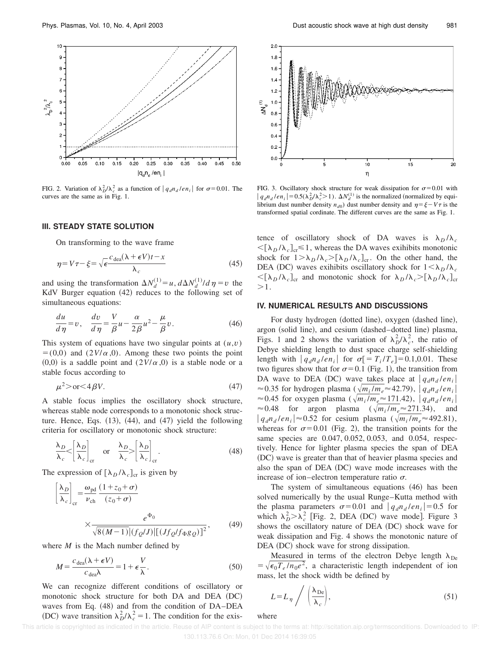

FIG. 2. Variation of  $\lambda_D^2/\lambda_c^2$  as a function of  $|q_d n_d / e n_i|$  for  $\sigma = 0.01$ . The curves are the same as in Fig. 1.

#### **III. STEADY STATE SOLUTION**

On transforming to the wave frame

$$
\eta = V\tau - \xi = \sqrt{\epsilon \frac{c_{\text{dea}}(\lambda + \epsilon V)t - x}{\lambda_c}}
$$
(45)

and using the transformation  $\Delta N_d^{(1)} = u$ ,  $d\Delta N_d^{(1)}/d\eta = v$  the KdV Burger equation  $(42)$  reduces to the following set of simultaneous equations:

$$
\frac{du}{d\eta} = v, \quad \frac{dv}{d\eta} = \frac{V}{\beta}u - \frac{\alpha}{2\beta}u^2 - \frac{\mu}{\beta}v.
$$
 (46)

This system of equations have two singular points at  $(u, v)$  $= (0,0)$  and  $(2V/\alpha, 0)$ . Among these two points the point  $(0,0)$  is a saddle point and  $(2V/\alpha,0)$  is a stable node or a stable focus according to

$$
\mu^2 > \text{or} < 4\beta V. \tag{47}
$$

A stable focus implies the oscillatory shock structure, whereas stable node corresponds to a monotonic shock structure. Hence, Eqs.  $(13)$ ,  $(44)$ , and  $(47)$  yield the following criteria for oscillatory or monotonic shock structure:

$$
\frac{\lambda_D}{\lambda_c} < \left[ \frac{\lambda_D}{\lambda_c} \right]_{cr} \quad \text{or} \quad \frac{\lambda_D}{\lambda_c} > \left[ \frac{\lambda_D}{\lambda_c} \right]_{cr}.
$$
\n(48)

The expression of  $[\lambda_D/\lambda_c]_{cr}$  is given by

$$
\left[\frac{\lambda_D}{\lambda_c}\right]_{cr} = \frac{\omega_{\text{pd}}}{\nu_{\text{ch}}} \frac{(1+z_0+\sigma)}{(z_0+\sigma)}
$$
\n
$$
\times \frac{e^{\Phi_0}}{\sqrt{8(M-1)}|(f_Q/J)|[(Jf_Q/f_{\Phi}g_Q)]^2},\tag{49}
$$

where *M* is the Mach number defined by

$$
M = \frac{c_{\text{dea}}(\lambda + \epsilon V)}{c_{\text{dea}}\lambda} = 1 + \epsilon \frac{V}{\lambda}.
$$
 (50)

We can recognize different conditions of oscillatory or monotonic shock structure for both DA and DEA (DC) waves from Eq. (48) and from the condition of DA–DEA (DC) wave transition  $\lambda_D^2/\lambda_c^2 = 1$ . The condition for the exis-



FIG. 3. Oscillatory shock structure for weak dissipation for  $\sigma$ =0.01 with  $|q_d n_d / e n_i| = 0.5(\lambda_D^2 / \lambda_c^2 > 1)$ .  $\Delta N_d^{(1)}$  is the normalized (normalized by equilibrium dust number density  $n_{d0}$ ) dust number density and  $\eta = \xi - V\tau$  is the transformed spatial cordinate. The different curves are the same as Fig. 1.

tence of oscillatory shock of DA waves is  $\lambda_D/\lambda_c$  $\langle \left[\lambda_D / \lambda_c\right]_{cr} \leq 1$ , whereas the DA waves exihibits monotonic shock for  $1 > \lambda_D / \lambda_c > [\lambda_D / \lambda_c]_{cr}$ . On the other hand, the DEA (DC) waves exihibits oscillatory shock for  $1 \leq \lambda_D/\lambda_c$  $\langle \left[\lambda_D / \lambda_c \right]_{\text{cr}}$  and monotonic shock for  $\lambda_D / \lambda_c > \left[\lambda_D / \lambda_c \right]_{\text{cr}}$  $>1$ .

#### **IV. NUMERICAL RESULTS AND DISCUSSIONS**

For dusty hydrogen (dotted line), oxygen (dashed line), argon (solid line), and cesium (dashed–dotted line) plasma, Figs. 1 and 2 shows the variation of  $\lambda_D^2/\lambda_c^2$ , the ratio of Debye shielding length to dust space charge self-shielding length with  $|q_d n_d / en_i|$  for  $\sigma = T_i / T_e = 0.1,0.01$ . These two figures show that for  $\sigma$ =0.1 (Fig. 1), the transition from DA wave to DEA (DC) wave takes place at  $|q_d n_d / e n_i|$  $\approx$  0.35 for hydrogen plasma ( $\sqrt{m_i/m_e} \approx$  42.79),  $|q_d n_d / e n_i|$  $\approx$  0.45 for oxygen plasma ( $\sqrt{m_i/m_e} \approx$  171.42),  $|q_d n_d / en_i|$  $\approx 0.48$  for argon plasma  $(\sqrt{m_i/m_e} \approx 271.34)$ , and  $|q_d n_d / e n_i| \approx 0.52$  for cesium plasma ( $\sqrt{m_i / m_e} \approx 492.81$ ), whereas for  $\sigma$ =0.01 (Fig. 2), the transition points for the same species are 0.047, 0.052, 0.053, and 0.054, respectively. Hence for lighter plasma species the span of DEA (DC) wave is greater than that of heavier plasma species and also the span of DEA (DC) wave mode increases with the increase of ion–electron temperature ratio  $\sigma$ .

The system of simultaneous equations (46) has been solved numerically by the usual Runge–Kutta method with the plasma parameters  $\sigma$ =0.01 and  $|q_d n_d / e n_i|$ =0.5 for which  $\lambda_D^2 > \lambda_c^2$  [Fig. 2, DEA (DC) wave mode]. Figure 3 shows the oscillatory nature of DEA (DC) shock wave for weak dissipation and Fig. 4 shows the monotonic nature of DEA (DC) shock wave for strong dissipation.

Measured in terms of the electron Debye length  $\lambda_{\text{De}}$  $=\sqrt{\epsilon_0 T_e/n_0e^2}$ , a characteristic length independent of ion mass, let the shock width be defined by

$$
L = L_{\eta} / \left( \frac{\lambda_{\text{De}}}{\lambda_c} \right), \tag{51}
$$

where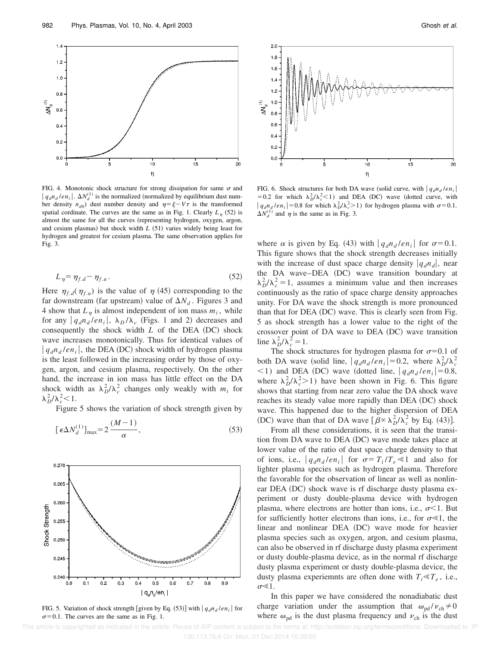

FIG. 4. Monotonic shock structure for strong dissipation for same  $\sigma$  and  $|q_d n_d / e n_i|$ .  $\Delta N_d^{(1)}$  is the normalized (normalized by equilibrium dust number density  $n_{d0}$ ) dust number density and  $\eta = \xi - V\tau$  is the transformed spatial cordinate. The curves are the same as in Fig. 1. Clearly  $L_{\eta}$  (52) is almost the same for all the curves (representing hydrogen, oxygen, argon, and cesium plasmas) but shock width  $L$   $(51)$  varies widely being least for hydrogen and greatest for cesium plasma. The same observation applies for Fig. 3.

$$
L_{\eta} = \eta_{f.d} - \eta_{f.u}.
$$
\n<sup>(52)</sup>

Here  $\eta_{f,d}(\eta_{f,u})$  is the value of  $\eta$  (45) corresponding to the far downstream (far upstream) value of  $\Delta N_d$ . Figures 3 and 4 show that  $L_{\eta}$  is almost independent of ion mass  $m_i$ , while for any  $|q_d n_d / e n_i|$ ,  $\lambda_D / \lambda_c$  (Figs. 1 and 2) decreases and consequently the shock width  $L$  of the DEA  $(DC)$  shock wave increases monotonically. Thus for identical values of  $|q_d n_d / e n_i|$ , the DEA (DC) shock width of hydrogen plasma is the least followed in the increasing order by those of oxygen, argon, and cesium plasma, respectively. On the other hand, the increase in ion mass has little effect on the DA shock width as  $\lambda_D^2/\lambda_c^2$  changes only weakly with  $m_i$  for  $\lambda_D^2/\lambda_c^2$  < 1.

Figure 5 shows the variation of shock strength given by

$$
[\epsilon \Delta N_d^{(1)}]_{\text{max}} = 2 \frac{(M-1)}{\alpha},\tag{53}
$$



FIG. 5. Variation of shock strength [given by Eq. (53)] with  $|q_d n_d / e n_i|$  for  $\sigma$ =0.1. The curves are the same as in Fig. 1.



FIG. 6. Shock structures for both DA wave (solid curve, with  $|q_d n_d / e n_i|$ = 0.2 for which  $\lambda_D^2/\lambda_c^2$ <1) and DEA (DC) wave (dotted curve, with  $|q_d n_d / e n_i| = 0.8$  for which  $\lambda_D^2 / \lambda_c^2 > 1$ ) for hydrogen plasma with  $\sigma = 0.1$ .  $\Delta N_d^{(1)}$  and  $\eta$  is the same as in Fig. 3.

where  $\alpha$  is given by Eq. (43) with  $|q_d n_d / en_i|$  for  $\sigma = 0.1$ . This figure shows that the shock strength decreases initially with the increase of dust space charge density  $|q_d n_d|$ , near the DA wave–DEA (DC) wave transition boundary at  $\lambda_D^2/\lambda_c^2 = 1$ , assumes a minimum value and then increases continuously as the ratio of space charge density approaches unity. For DA wave the shock strength is more pronounced than that for  $DEA$   $(DC)$  wave. This is clearly seen from Fig. 5 as shock strength has a lower value to the right of the crossover point of  $DA$  wave to  $DEA$   $(DC)$  wave transition line  $\lambda_D^2/\lambda_c^2 = 1$ .

The shock structures for hydrogen plasma for  $\sigma$ =0.1 of both DA wave (solid line,  $|q_d n_d / en_i| = 0.2$ , where  $\lambda_D^2 / \lambda_c^2$  $(1)$  and DEA (DC) wave (dotted line,  $|q_d n_d / e n_i| = 0.8$ , where  $\lambda_D^2/\lambda_c^2 > 1$ ) have been shown in Fig. 6. This figure shows that starting from near zero value the DA shock wave reaches its steady value more rapidly than DEA (DC) shock wave. This happened due to the higher dispersion of DEA (DC) wave than that of DA wave  $\left[\beta \propto \lambda_D^2 / \lambda_c^2 \right]$  by Eq. (43)].

From all these considerations, it is seen that the transition from DA wave to DEA (DC) wave mode takes place at lower value of the ratio of dust space charge density to that of ions, i.e.,  $|q_d n_d / e n_i|$  for  $\sigma = T_i / T_e \ll 1$  and also for lighter plasma species such as hydrogen plasma. Therefore the favorable for the observation of linear as well as nonlinear DEA (DC) shock wave is rf discharge dusty plasma experiment or dusty double-plasma device with hydrogen plasma, where electrons are hotter than ions, i.e.,  $\sigma$ <1. But for sufficiently hotter electrons than ions, i.e., for  $\sigma \ll 1$ , the linear and nonlinear DEA (DC) wave mode for heavier plasma species such as oxygen, argon, and cesium plasma, can also be observed in rf discharge dusty plasma experiment or dusty double-plasma device, as in the normal rf discharge dusty plasma experiment or dusty double-plasma device, the dusty plasma experiemnts are often done with  $T_i \ll T_e$ , i.e.,  $\sigma \ll 1$ .

In this paper we have considered the nonadiabatic dust charge variation under the assumption that  $\omega_{pd}/v_{ch} \neq 0$ where  $\omega_{\rm nd}$  is the dust plasma frequency and  $v_{\rm ch}$  is the dust